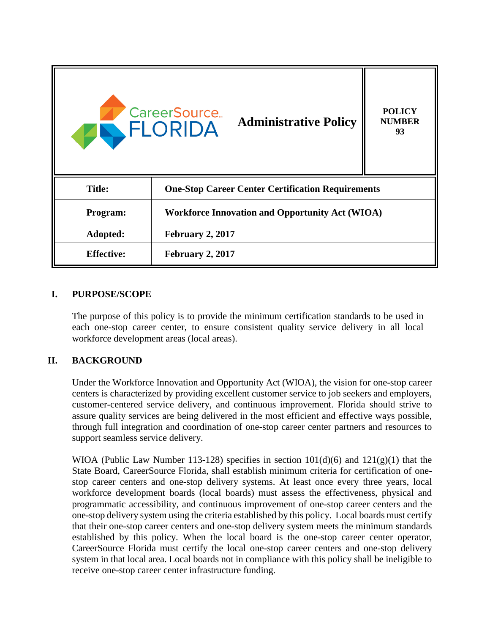

### **I. PURPOSE/SCOPE**

The purpose of this policy is to provide the minimum certification standards to be used in each one-stop career center, to ensure consistent quality service delivery in all local workforce development areas (local areas).

### **II. BACKGROUND**

Under the Workforce Innovation and Opportunity Act (WIOA), the vision for one-stop career centers is characterized by providing excellent customer service to job seekers and employers, customer-centered service delivery, and continuous improvement. Florida should strive to assure quality services are being delivered in the most efficient and effective ways possible, through full integration and coordination of one-stop career center partners and resources to support seamless service delivery.

WIOA (Public Law Number 113-128) specifies in section  $101(d)(6)$  and  $121(g)(1)$  that the State Board, CareerSource Florida, shall establish minimum criteria for certification of onestop career centers and one-stop delivery systems. At least once every three years, local workforce development boards (local boards) must assess the effectiveness, physical and programmatic accessibility, and continuous improvement of one-stop career centers and the one-stop delivery system using the criteria established by this policy. Local boards must certify that their one-stop career centers and one-stop delivery system meets the minimum standards established by this policy. When the local board is the one-stop career center operator, CareerSource Florida must certify the local one-stop career centers and one-stop delivery system in that local area. Local boards not in compliance with this policy shall be ineligible to receive one-stop career center infrastructure funding.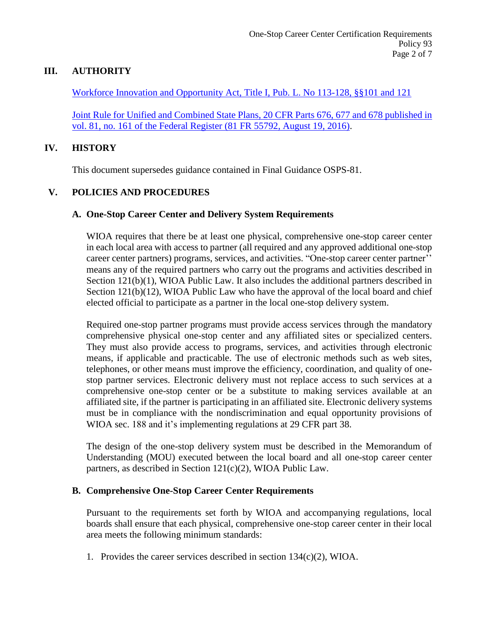### **III. AUTHORITY**

Workforce Innovation and Opportunity Act, Title I, Pub. L. No 113-128, §§101 and 121

Joint Rule for Unified and Combined State Plans, 20 CFR Parts 676, 677 and 678 published in vol. 81, no. 161 of the Federal Register (81 FR 55792, August 19, 2016).

#### **IV. HISTORY**

This document supersedes guidance contained in Final Guidance OSPS-81.

### **V. POLICIES AND PROCEDURES**

#### **A. One-Stop Career Center and Delivery System Requirements**

WIOA requires that there be at least one physical, comprehensive one-stop career center in each local area with access to partner (all required and any approved additional one-stop career center partners) programs, services, and activities. "One-stop career center partner'' means any of the required partners who carry out the programs and activities described in Section 121(b)(1), WIOA Public Law. It also includes the additional partners described in Section 121(b)(12), WIOA Public Law who have the approval of the local board and chief elected official to participate as a partner in the local one-stop delivery system.

Required one-stop partner programs must provide access services through the mandatory comprehensive physical one-stop center and any affiliated sites or specialized centers. They must also provide access to programs, services, and activities through electronic means, if applicable and practicable. The use of electronic methods such as web sites, telephones, or other means must improve the efficiency, coordination, and quality of onestop partner services. Electronic delivery must not replace access to such services at a comprehensive one-stop center or be a substitute to making services available at an affiliated site, if the partner is participating in an affiliated site. Electronic delivery systems must be in compliance with the nondiscrimination and equal opportunity provisions of WIOA sec. 188 and it's implementing regulations at 29 CFR part 38.

The design of the one-stop delivery system must be described in the Memorandum of Understanding (MOU) executed between the local board and all one-stop career center partners, as described in Section 121(c)(2), WIOA Public Law.

### **B. Comprehensive One-Stop Career Center Requirements**

Pursuant to the requirements set forth by WIOA and accompanying regulations, local boards shall ensure that each physical, comprehensive one-stop career center in their local area meets the following minimum standards:

1. Provides the career services described in section 134(c)(2), WIOA.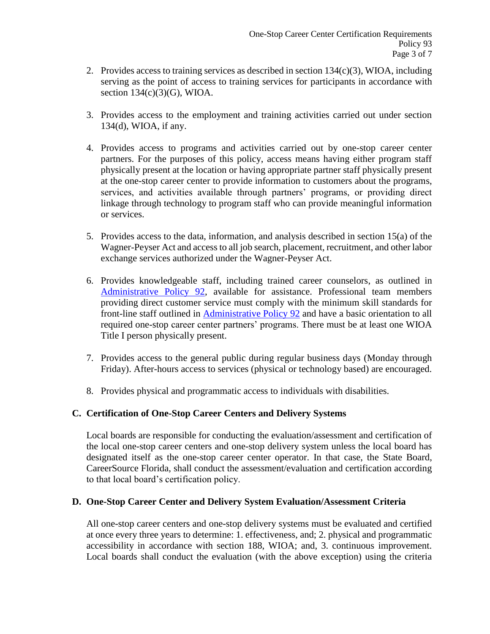- 2. Provides access to training services as described in section 134(c)(3), WIOA, including serving as the point of access to training services for participants in accordance with section 134(c)(3)(G), WIOA.
- 3. Provides access to the employment and training activities carried out under section 134(d), WIOA, if any.
- 4. Provides access to programs and activities carried out by one-stop career center partners. For the purposes of this policy, access means having either program staff physically present at the location or having appropriate partner staff physically present at the one-stop career center to provide information to customers about the programs, services, and activities available through partners' programs, or providing direct linkage through technology to program staff who can provide meaningful information or services.
- 5. Provides access to the data, information, and analysis described in section 15(a) of the Wagner-Peyser Act and access to all job search, placement, recruitment, and other labor exchange services authorized under the Wagner-Peyser Act.
- 6. Provides knowledgeable staff, including trained career counselors, as outlined in Administrative Policy 92, available for assistance. Professional team members providing direct customer service must comply with the minimum skill standards for front-line staff outlined in Administrative Policy 92 and have a basic orientation to all required one-stop career center partners' programs. There must be at least one WIOA Title I person physically present.
- 7. Provides access to the general public during regular business days (Monday through Friday). After-hours access to services (physical or technology based) are encouraged.
- 8. Provides physical and programmatic access to individuals with disabilities.

# **C. Certification of One-Stop Career Centers and Delivery Systems**

Local boards are responsible for conducting the evaluation/assessment and certification of the local one-stop career centers and one-stop delivery system unless the local board has designated itself as the one-stop career center operator. In that case, the State Board, CareerSource Florida, shall conduct the assessment/evaluation and certification according to that local board's certification policy.

### **D. One-Stop Career Center and Delivery System Evaluation/Assessment Criteria**

All one-stop career centers and one-stop delivery systems must be evaluated and certified at once every three years to determine: 1. effectiveness, and; 2. physical and programmatic accessibility in accordance with section 188, WIOA; and, 3. continuous improvement. Local boards shall conduct the evaluation (with the above exception) using the criteria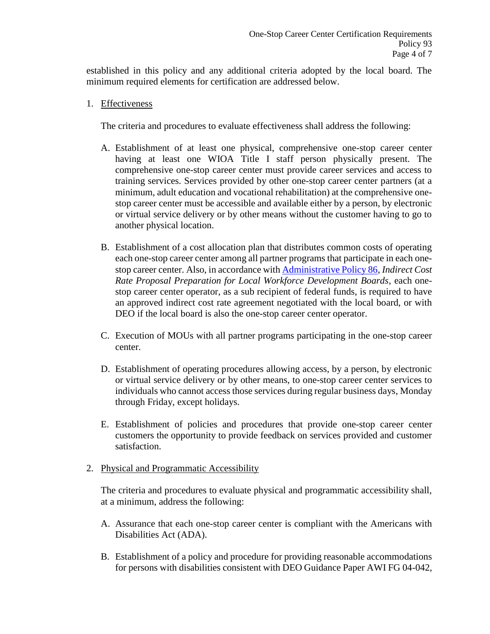established in this policy and any additional criteria adopted by the local board. The minimum required elements for certification are addressed below.

1. Effectiveness

The criteria and procedures to evaluate effectiveness shall address the following:

- A. Establishment of at least one physical, comprehensive one-stop career center having at least one WIOA Title I staff person physically present. The comprehensive one-stop career center must provide career services and access to training services. Services provided by other one-stop career center partners (at a minimum, adult education and vocational rehabilitation) at the comprehensive onestop career center must be accessible and available either by a person, by electronic or virtual service delivery or by other means without the customer having to go to another physical location.
- B. Establishment of a cost allocation plan that distributes common costs of operating each one-stop career center among all partner programs that participate in each onestop career center. Also, in accordance with Administrative Policy 86, *Indirect Cost Rate Proposal Preparation for Local Workforce Development Boards*, each onestop career center operator, as a sub recipient of federal funds, is required to have an approved indirect cost rate agreement negotiated with the local board, or with DEO if the local board is also the one-stop career center operator.
- C. Execution of MOUs with all partner programs participating in the one-stop career center.
- D. Establishment of operating procedures allowing access, by a person, by electronic or virtual service delivery or by other means, to one-stop career center services to individuals who cannot access those services during regular business days, Monday through Friday, except holidays.
- E. Establishment of policies and procedures that provide one-stop career center customers the opportunity to provide feedback on services provided and customer satisfaction.
- 2. Physical and Programmatic Accessibility

The criteria and procedures to evaluate physical and programmatic accessibility shall, at a minimum, address the following:

- A. Assurance that each one-stop career center is compliant with the Americans with Disabilities Act (ADA).
- B. Establishment of a policy and procedure for providing reasonable accommodations for persons with disabilities consistent with DEO Guidance Paper AWI FG 04-042,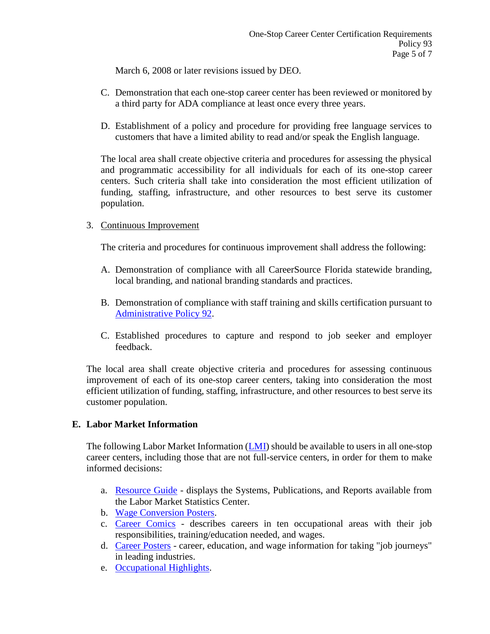March 6, 2008 or later revisions issued by DEO.

- C. Demonstration that each one-stop career center has been reviewed or monitored by a third party for ADA compliance at least once every three years.
- D. Establishment of a policy and procedure for providing free language services to customers that have a limited ability to read and/or speak the English language.

The local area shall create objective criteria and procedures for assessing the physical and programmatic accessibility for all individuals for each of its one-stop career centers. Such criteria shall take into consideration the most efficient utilization of funding, staffing, infrastructure, and other resources to best serve its customer population.

### 3. Continuous Improvement

The criteria and procedures for continuous improvement shall address the following:

- A. Demonstration of compliance with all CareerSource Florida statewide branding, local branding, and national branding standards and practices.
- B. Demonstration of compliance with staff training and skills certification pursuant to Administrative Policy 92.
- C. Established procedures to capture and respond to job seeker and employer feedback.

The local area shall create objective criteria and procedures for assessing continuous improvement of each of its one-stop career centers, taking into consideration the most efficient utilization of funding, staffing, infrastructure, and other resources to best serve its customer population.

### **E. Labor Market Information**

The following Labor Market Information  $(\underline{LMI})$  should be available to users in all one-stop career centers, including those that are not full-service centers, in order for them to make informed decisions:

- a. Resource Guide displays the Systems, Publications, and Reports available from the Labor Market Statistics Center.
- b. Wage Conversion Posters.
- c. Career Comics describes careers in ten occupational areas with their job responsibilities, training/education needed, and wages.
- d. Career Posters career, education, and wage information for taking "job journeys" in leading industries.
- e. Occupational Highlights.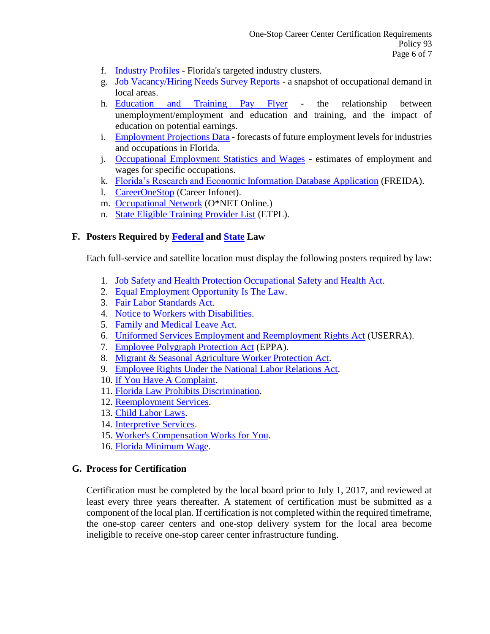- f. Industry Profiles Florida's targeted industry clusters.
- g. Job Vacancy/Hiring Needs Survey Reports a snapshot of occupational demand in local areas.
- h. Education and Training Pay Flyer the relationship between unemployment/employment and education and training, and the impact of education on potential earnings.
- i. Employment Projections Data forecasts of future employment levels for industries and occupations in Florida.
- j. Occupational Employment Statistics and Wages estimates of employment and wages for specific occupations.
- k. Florida's Research and Economic Information Database Application (FREIDA).
- l. CareerOneStop (Career Infonet).
- m. Occupational Network (O\*NET Online.)
- n. State Eligible Training Provider List (ETPL).

### **F. Posters Required by Federal and State Law**

Each full-service and satellite location must display the following posters required by law:

- 1. Job Safety and Health Protection Occupational Safety and Health Act.
- 2. Equal Employment Opportunity Is The Law.
- 3. Fair Labor Standards Act.
- 4. Notice to Workers with Disabilities.
- 5. Family and Medical Leave Act.
- 6. Uniformed Services Employment and Reemployment Rights Act (USERRA).
- 7. Employee Polygraph Protection Act (EPPA).
- 8. Migrant & Seasonal Agriculture Worker Protection Act.
- 9. Employee Rights Under the National Labor Relations Act.
- 10. If You Have A Complaint.
- 11. Florida Law Prohibits Discrimination.
- 12. Reemployment Services.
- 13. Child Labor Laws.
- 14. Interpretive Services.
- 15. Worker's Compensation Works for You.
- 16. Florida Minimum Wage.

### **G. Process for Certification**

Certification must be completed by the local board prior to July 1, 2017, and reviewed at least every three years thereafter. A statement of certification must be submitted as a component of the local plan. If certification is not completed within the required timeframe, the one-stop career centers and one-stop delivery system for the local area become ineligible to receive one-stop career center infrastructure funding.